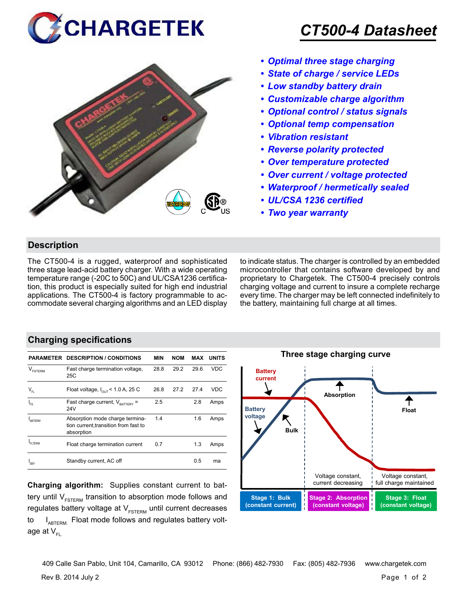



## *CT500-4 Datasheet*

- *• Optimal three stage charging*
- *• State of charge / service LEDs*
- *• Low standby battery drain*
- *• Customizable charge algorithm*
- *• Optional control / status signals*
- *• Optional temp compensation*
- *• Vibration resistant*
- *• Reverse polarity protected*
- *• Over temperature protected*
- *• Over current / voltage protected*
- *• Waterproof / hermetically sealed*
- *• UL/CSA 1236 certified*
- *• Two year warranty*

#### **Description**

The CT500-4 is a rugged, waterproof and sophisticated three stage lead-acid battery charger. With a wide operating temperature range (-20C to 50C) and UL/CSA1236 certification, this product is especially suited for high end industrial applications. The CT500-4 is factory programmable to accommodate several charging algorithms and an LED display to indicate status. The charger is controlled by an embedded microcontroller that contains software developed by and proprietary to Chargetek. The CT500-4 precisely controls charging voltage and current to insure a complete recharge every time. The charger may be left connected indefinitely to the battery, maintaining full charge at all times.

#### **Charging specifications**

|                                                | <b>PARAMETER DESCRIPTION / CONDITIONS</b>                                              | MIN  | <b>NOM</b> | MAX  | <b>UNITS</b> |
|------------------------------------------------|----------------------------------------------------------------------------------------|------|------------|------|--------------|
| V<br><b>FSTERM</b>                             | Fast charge termination voltage,<br>25C                                                | 28.8 | 29.2       | 29.6 | <b>VDC</b>   |
| $\mathsf{V}_{\scriptscriptstyle{\mathsf{FL}}}$ | Float voltage, $I_{\text{out}}$ < 1.0 A, 25 C                                          | 26.8 | 27.2       | 27.4 | VDC          |
| I <sub>FS</sub>                                | Fast charge current, $V_{\text{raffers}}$ =<br>24V                                     | 2.5  |            | 2.8  | Amps         |
| ARTFRM                                         | Absorption mode charge termina-<br>tion current, transition from fast to<br>absorption | 1.4  |            | 1.6  | Amps         |
| FI TFRM                                        | Float charge termination current                                                       | 0.7  |            | 1.3  | Amps         |
| I <sub>SBY</sub>                               | Standby current, AC off                                                                |      |            | 0.5  | ma           |

**Charging algorithm:** Supplies constant current to battery until  $V_{ESTERM}$  transition to absorption mode follows and regulates battery voltage at  $V_{ESTFRM}$  until current decreases to  $I_{ABTERM}$ . Float mode follows and regulates battery voltage at  $V_{\text{F}}$ 



Rev B. 2014 July 2 Page 1 of 2 409 Calle San Pablo, Unit 104, Camarillo, CA 93012 Phone: (866) 482-7930 Fax: (805) 482-7936 www.chargetek.com